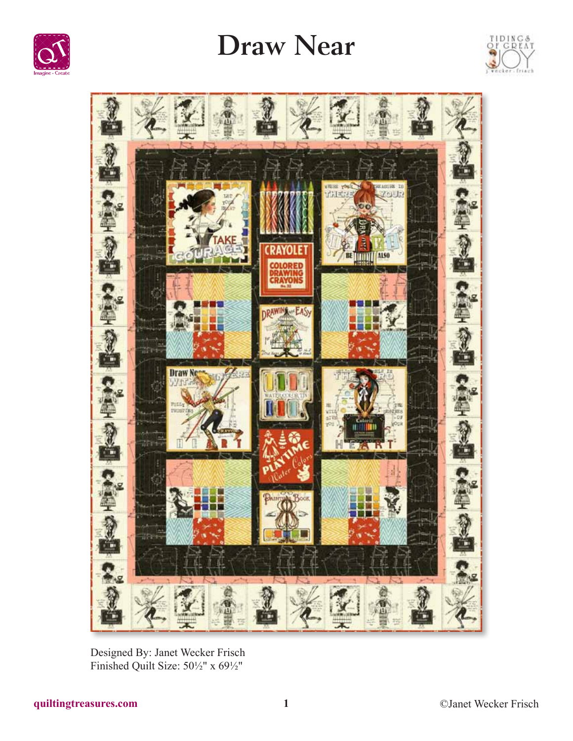

## **Draw Near**





Designed By: Janet Wecker Frisch Finished Quilt Size: 50½" x 69½"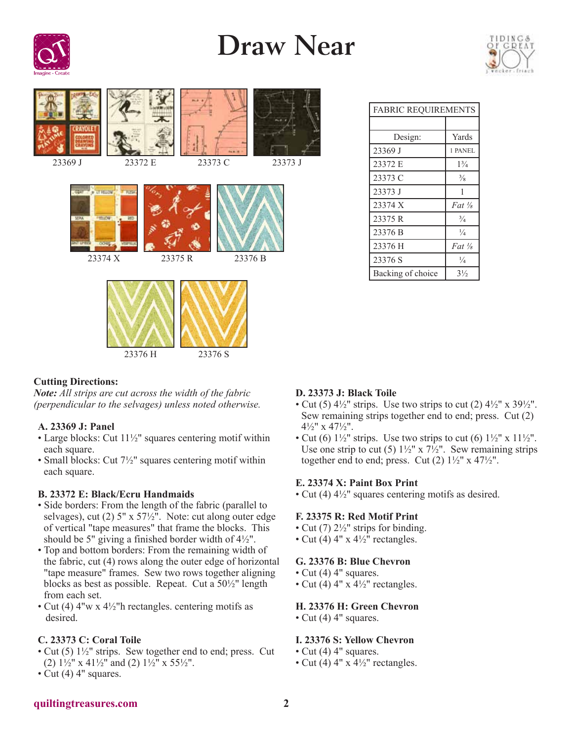

## **Draw Near**





| <b>FABRIC REQUIREMENTS</b> |                     |
|----------------------------|---------------------|
|                            |                     |
| Design:                    | Yards               |
| 23369 J                    | 1 PANEL             |
| 23372 E                    | $1\frac{3}{4}$      |
| 23373 C                    | $\frac{3}{8}$       |
| 23373 J                    | 1                   |
| 23374 X                    | $Fat$ $\frac{1}{2}$ |
| 23375 R                    | $\frac{3}{4}$       |
| 23376 B                    | $\frac{1}{4}$       |
| 23376 H                    | $Fat \frac{1}{2}$   |
| 23376 S                    | $\frac{1}{4}$       |
| Backing of choice          | $3\frac{1}{2}$      |

## **Cutting Directions:**

*Note: All strips are cut across the width of the fabric (perpendicular to the selvages) unless noted otherwise.*

## **A. 23369 J: Panel**

- Large blocks: Cut 11<sup>1</sup>/<sub>2</sub>" squares centering motif within each square.
- Small blocks: Cut 7<sup>1</sup>/<sub>2</sub>" squares centering motif within each square.

#### **B. 23372 E: Black/Ecru Handmaids**

- Side borders: From the length of the fabric (parallel to selvages), cut (2) 5" x 57½". Note: cut along outer edge of vertical "tape measures" that frame the blocks. This should be 5" giving a finished border width of 4½".
- Top and bottom borders: From the remaining width of the fabric, cut (4) rows along the outer edge of horizontal "tape measure" frames. Sew two rows together aligning blocks as best as possible. Repeat. Cut a 50½" length from each set.
- Cut (4)  $4''w \times 4\frac{1}{2}$ "h rectangles. centering motifs as desired.

## **C. 23373 C: Coral Toile**

- Cut (5)  $1\frac{1}{2}$ " strips. Sew together end to end; press. Cut (2)  $1\frac{1}{2}$ " x  $41\frac{1}{2}$ " and (2)  $1\frac{1}{2}$ " x  $55\frac{1}{2}$ ".
- Cut (4) 4" squares.

## **D. 23373 J: Black Toile**

- Cut (5)  $4\frac{1}{2}$ " strips. Use two strips to cut (2)  $4\frac{1}{2}$ " x  $39\frac{1}{2}$ ". Sew remaining strips together end to end; press. Cut (2) 4½" x 47½".
- Cut (6)  $1\frac{1}{2}$ " strips. Use two strips to cut (6)  $1\frac{1}{2}$ " x  $11\frac{1}{2}$ ". Use one strip to cut (5)  $1\frac{1}{2}$ " x  $7\frac{1}{2}$ ". Sew remaining strips together end to end; press. Cut  $(2)$   $1\frac{1}{2}$ " x  $47\frac{1}{2}$ ".

#### **E. 23374 X: Paint Box Print**

• Cut (4) 4½" squares centering motifs as desired.

#### **F. 23375 R: Red Motif Print**

- Cut (7)  $2\frac{1}{2}$ " strips for binding.
- Cut (4)  $4'' \times 4\frac{1}{2}$  rectangles.

## **G. 23376 B: Blue Chevron**

- Cut (4) 4" squares.
- Cut (4)  $4''$  x  $4\frac{1}{2}''$  rectangles.

## **H. 23376 H: Green Chevron**

• Cut (4) 4" squares.

## **I. 23376 S: Yellow Chevron**

- Cut (4) 4" squares.
- Cut (4)  $4'' \times 4\frac{1}{2}$ " rectangles.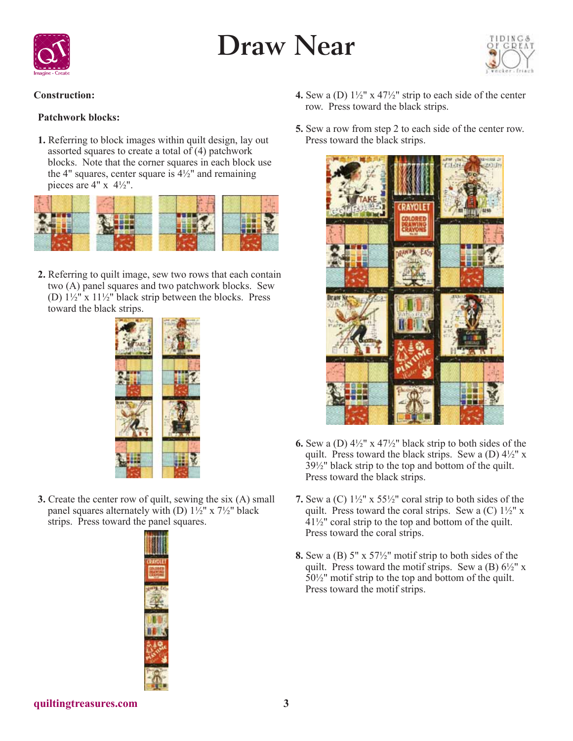



## **Construction:**

## **Patchwork blocks:**

**1.** Referring to block images within quilt design, lay out assorted squares to create a total of (4) patchwork blocks. Note that the corner squares in each block use the 4" squares, center square is  $4\frac{1}{2}$ " and remaining pieces are  $4" \times 4\frac{1}{2}$ ".



**2.** Referring to quilt image, sew two rows that each contain two (A) panel squares and two patchwork blocks. Sew (D) 1½" x 11½" black strip between the blocks. Press toward the black strips.



**3.** Create the center row of quilt, sewing the six (A) small panel squares alternately with (D)  $1\frac{1}{2}$ " x  $7\frac{1}{2}$ " black strips. Press toward the panel squares.



- **4.** Sew a (D) 1½" x 47½" strip to each side of the center row. Press toward the black strips.
- **5.** Sew a row from step 2 to each side of the center row. Press toward the black strips.



- **6.** Sew a (D) 4½" x 47½" black strip to both sides of the quilt. Press toward the black strips. Sew a (D)  $4\frac{1}{2}$ " x 39½" black strip to the top and bottom of the quilt. Press toward the black strips.
- **7.** Sew a (C) 1½" x 55½" coral strip to both sides of the quilt. Press toward the coral strips. Sew a  $(C)$  1½" x 41½" coral strip to the top and bottom of the quilt. Press toward the coral strips.
- **8.** Sew a (B) 5" x 57½" motif strip to both sides of the quilt. Press toward the motif strips. Sew a  $(B) 6\frac{1}{2}$ " x  $50\frac{1}{2}$ " motif strip to the top and bottom of the quilt. Press toward the motif strips.